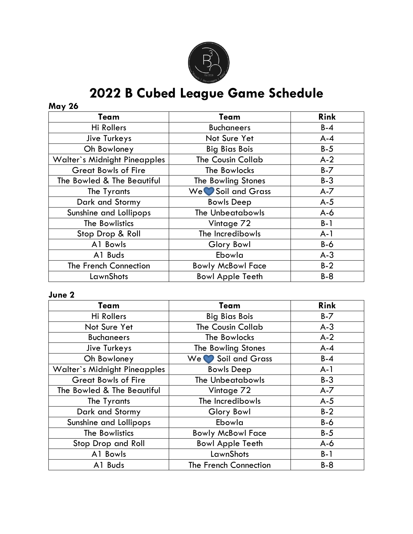

# **2022 B Cubed League Game Schedule**

## **May 26**

| Team                                | Team                     | <b>Rink</b> |
|-------------------------------------|--------------------------|-------------|
| Hi Rollers                          | <b>Buchaneers</b>        | $B-4$       |
| Jive Turkeys                        | Not Sure Yet             | $A - 4$     |
| Oh Bowloney                         | <b>Big Bias Bois</b>     | $B-5$       |
| <b>Walter's Midnight Pineapples</b> | <b>The Cousin Collab</b> | $A-2$       |
| <b>Great Bowls of Fire</b>          | The Bowlocks             | $B - 7$     |
| The Bowled & The Beautiful          | The Bowling Stones       | $B-3$       |
| The Tyrants                         | We Soil and Grass        | $A - 7$     |
| Dark and Stormy                     | <b>Bowls Deep</b>        | $A-5$       |
| Sunshine and Lollipops              | <b>The Unbeatabowls</b>  | $A-6$       |
| The Bowlistics                      | Vintage 72               | $B-1$       |
| Stop Drop & Roll                    | The Incredibowls         | $A-1$       |
| A1 Bowls                            | Glory Bowl               | $B-6$       |
| A1 Buds                             | Ebowla                   | $A-3$       |
| The French Connection               | <b>Bowly McBowl Face</b> | $B-2$       |
| LawnShots                           | <b>Bowl Apple Teeth</b>  | $B-8$       |

#### **June 2**

| Team                                | Team                     | <b>Rink</b> |
|-------------------------------------|--------------------------|-------------|
| Hi Rollers                          | <b>Big Bias Bois</b>     | $B - 7$     |
| Not Sure Yet                        | The Cousin Collab        | $A-3$       |
| <b>Buchaneers</b>                   | The Bowlocks             | $A-2$       |
| Jive Turkeys                        | The Bowling Stones       | $A - 4$     |
| Oh Bowloney                         | We Soil and Grass        | $B - 4$     |
| <b>Walter's Midnight Pineapples</b> | <b>Bowls Deep</b>        | $A-1$       |
| <b>Great Bowls of Fire</b>          | <b>The Unbeatabowls</b>  | $B-3$       |
| The Bowled & The Beautiful          | Vintage 72               | $A - 7$     |
| The Tyrants                         | The Incredibowls         | $A-5$       |
| Dark and Stormy                     | Glory Bowl               | $B-2$       |
| Sunshine and Lollipops              | Ebowla                   | $B-6$       |
| The Bowlistics                      | <b>Bowly McBowl Face</b> | $B-5$       |
| Stop Drop and Roll                  | <b>Bowl Apple Teeth</b>  | $A-6$       |
| A1 Bowls                            | LawnShots                | $B-1$       |
| A1 Buds                             | The French Connection    | $B-8$       |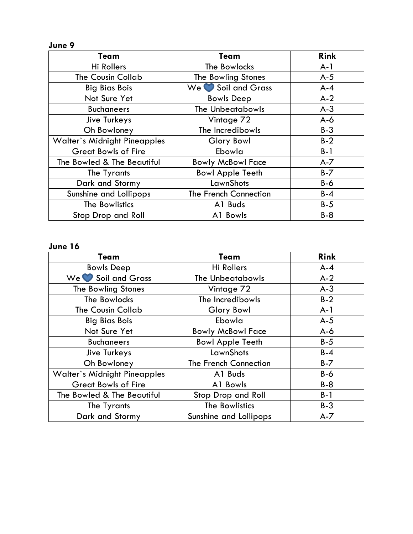#### **June 9**

| Team                                | Team                     | <b>Rink</b> |
|-------------------------------------|--------------------------|-------------|
| Hi Rollers                          | The Bowlocks             | $A-1$       |
| <b>The Cousin Collab</b>            | The Bowling Stones       | $A-5$       |
| <b>Big Bias Bois</b>                | We Soil and Grass        | $A - 4$     |
| Not Sure Yet                        | <b>Bowls Deep</b>        | $A-2$       |
| <b>Buchaneers</b>                   | The Unbeatabowls         | $A-3$       |
| Jive Turkeys                        | Vintage 72               | $A-6$       |
| Oh Bowloney                         | The Incredibowls         | $B-3$       |
| <b>Walter's Midnight Pineapples</b> | Glory Bowl               | $B-2$       |
| <b>Great Bowls of Fire</b>          | Ebowla                   | $B-1$       |
| The Bowled & The Beautiful          | <b>Bowly McBowl Face</b> | $A - 7$     |
| The Tyrants                         | <b>Bowl Apple Teeth</b>  | $B - 7$     |
| Dark and Stormy                     | LawnShots                | $B-6$       |
| Sunshine and Lollipops              | The French Connection    | $B - 4$     |
| The Bowlistics                      | A1 Buds                  | $B-5$       |
| Stop Drop and Roll                  | A1 Bowls                 | $B-8$       |

#### **June 16**

| Team                                | Team                     | <b>Rink</b> |
|-------------------------------------|--------------------------|-------------|
| <b>Bowls Deep</b>                   | <b>Hi Rollers</b>        | $A - 4$     |
| We Soil and Grass                   | The Unbeatabowls         | $A-2$       |
| The Bowling Stones                  | Vintage 72               | $A-3$       |
| The Bowlocks                        | The Incredibowls         | $B-2$       |
| <b>The Cousin Collab</b>            | Glory Bowl               | $A-1$       |
| <b>Big Bias Bois</b>                | Ebowla                   | $A-5$       |
| Not Sure Yet                        | <b>Bowly McBowl Face</b> | $A-6$       |
| <b>Buchaneers</b>                   | <b>Bowl Apple Teeth</b>  | $B-5$       |
| Jive Turkeys                        | LawnShots                | $B-4$       |
| Oh Bowloney                         | The French Connection    | $B - 7$     |
| <b>Walter's Midnight Pineapples</b> | A1 Buds                  | $B-6$       |
| <b>Great Bowls of Fire</b>          | A1 Bowls                 | $B-8$       |
| The Bowled & The Beautiful          | Stop Drop and Roll       | $B-1$       |
| The Tyrants                         | The Bowlistics           | $B-3$       |
| Dark and Stormy                     | Sunshine and Lollipops   | $A - 7$     |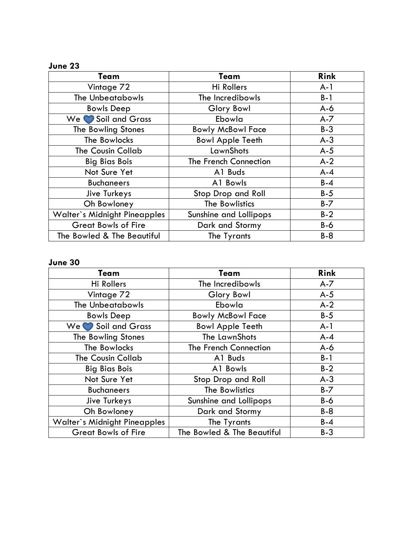## **June 23**

| Team                                | Team                     | <b>Rink</b> |
|-------------------------------------|--------------------------|-------------|
| Vintage 72                          | Hi Rollers               | $A-1$       |
| The Unbeatabowls                    | The Incredibowls         | $B-1$       |
| <b>Bowls Deep</b>                   | Glory Bowl               | $A-6$       |
| Soil and Grass<br>We I              | Ebowla                   | $A - 7$     |
| The Bowling Stones                  | <b>Bowly McBowl Face</b> | $B-3$       |
| The Bowlocks                        | <b>Bowl Apple Teeth</b>  | $A-3$       |
| <b>The Cousin Collab</b>            | LawnShots                | $A-5$       |
| <b>Big Bias Bois</b>                | The French Connection    | $A-2$       |
| Not Sure Yet                        | A1 Buds                  | $A - 4$     |
| <b>Buchaneers</b>                   | A1 Bowls                 | $B - 4$     |
| Jive Turkeys                        | Stop Drop and Roll       | $B-5$       |
| Oh Bowloney                         | The Bowlistics           | $B - 7$     |
| <b>Walter's Midnight Pineapples</b> | Sunshine and Lollipops   | $B-2$       |
| <b>Great Bowls of Fire</b>          | Dark and Stormy          | $B-6$       |
| The Bowled & The Beautiful          | The Tyrants              | $B-8$       |

## **June 30**

| Team                                | Team                       | <b>Rink</b> |
|-------------------------------------|----------------------------|-------------|
| <b>Hi Rollers</b>                   | The Incredibowls           | $A - 7$     |
| Vintage 72                          | Glory Bowl                 | $A-5$       |
| <b>The Unbeatabowls</b>             | Ebowla                     | $A-2$       |
| <b>Bowls Deep</b>                   | <b>Bowly McBowl Face</b>   | $B-5$       |
| We Soil and Grass                   | <b>Bowl Apple Teeth</b>    | $A-1$       |
| The Bowling Stones                  | The LawnShots              | $A - 4$     |
| The Bowlocks                        | The French Connection      | $A-6$       |
| The Cousin Collab                   | A1 Buds                    | $B-1$       |
| <b>Big Bias Bois</b>                | A1 Bowls                   | $B-2$       |
| Not Sure Yet                        | Stop Drop and Roll         | $A-3$       |
| <b>Buchaneers</b>                   | The Bowlistics             | $B - 7$     |
| Jive Turkeys                        | Sunshine and Lollipops     | $B-6$       |
| Oh Bowloney                         | Dark and Stormy            | $B-8$       |
| <b>Walter's Midnight Pineapples</b> | The Tyrants                | $B-4$       |
| <b>Great Bowls of Fire</b>          | The Bowled & The Beautiful | $B-3$       |